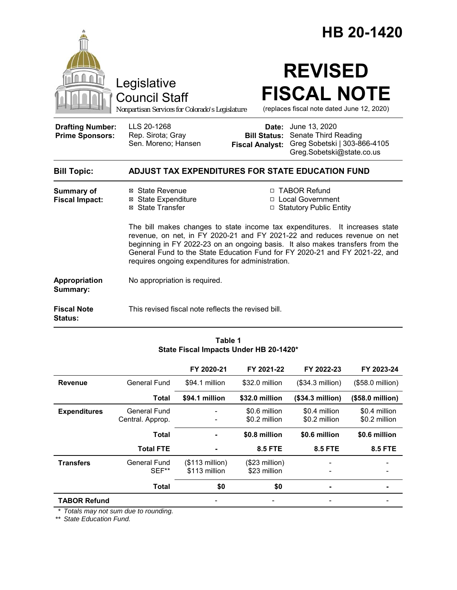|                                                   |                                                                                                                                                                                                                                                                                                                                                                              | HB 20-1420                                                                                                                                                    |  |  |
|---------------------------------------------------|------------------------------------------------------------------------------------------------------------------------------------------------------------------------------------------------------------------------------------------------------------------------------------------------------------------------------------------------------------------------------|---------------------------------------------------------------------------------------------------------------------------------------------------------------|--|--|
|                                                   | Legislative<br><b>Council Staff</b><br>Nonpartisan Services for Colorado's Legislature                                                                                                                                                                                                                                                                                       | <b>REVISED</b><br><b>FISCAL NOTE</b><br>(replaces fiscal note dated June 12, 2020)                                                                            |  |  |
| <b>Drafting Number:</b><br><b>Prime Sponsors:</b> | LLS 20-1268<br>Rep. Sirota; Gray<br>Sen. Moreno; Hansen                                                                                                                                                                                                                                                                                                                      | <b>Date:</b> June 13, 2020<br><b>Bill Status: Senate Third Reading</b><br>Greg Sobetski   303-866-4105<br><b>Fiscal Analyst:</b><br>Greg.Sobetski@state.co.us |  |  |
| <b>Bill Topic:</b>                                |                                                                                                                                                                                                                                                                                                                                                                              | <b>ADJUST TAX EXPENDITURES FOR STATE EDUCATION FUND</b>                                                                                                       |  |  |
| <b>Summary of</b><br><b>Fiscal Impact:</b>        | ⊠ State Revenue<br><b>⊠</b> State Expenditure<br>⊠ State Transfer                                                                                                                                                                                                                                                                                                            | □ TABOR Refund<br>□ Local Government<br>□ Statutory Public Entity                                                                                             |  |  |
|                                                   | The bill makes changes to state income tax expenditures. It increases state<br>revenue, on net, in FY 2020-21 and FY 2021-22 and reduces revenue on net<br>beginning in FY 2022-23 on an ongoing basis. It also makes transfers from the<br>General Fund to the State Education Fund for FY 2020-21 and FY 2021-22, and<br>requires ongoing expenditures for administration. |                                                                                                                                                               |  |  |
| Appropriation<br>Summary:                         | No appropriation is required.                                                                                                                                                                                                                                                                                                                                                |                                                                                                                                                               |  |  |
| <b>Fiscal Note</b><br>Status:                     | This revised fiscal note reflects the revised bill.                                                                                                                                                                                                                                                                                                                          |                                                                                                                                                               |  |  |

#### **Table 1 State Fiscal Impacts Under HB 20-1420\***

|                     |                                  | FY 2020-21                        | FY 2021-22                      | FY 2022-23                     | FY 2023-24                     |
|---------------------|----------------------------------|-----------------------------------|---------------------------------|--------------------------------|--------------------------------|
| <b>Revenue</b>      | General Fund                     | \$94.1 million                    | \$32.0 million                  | (\$34.3 million)               | (\$58.0 million)               |
|                     | <b>Total</b>                     | \$94.1 million                    | \$32.0 million                  | (\$34.3 million)               | (\$58.0 million)               |
| <b>Expenditures</b> | General Fund<br>Central. Approp. |                                   | \$0.6 million<br>\$0.2 million  | \$0.4 million<br>\$0.2 million | \$0.4 million<br>\$0.2 million |
|                     | <b>Total</b>                     |                                   | \$0.8 million                   | \$0.6 million                  | \$0.6 million                  |
|                     | <b>Total FTE</b>                 |                                   | <b>8.5 FTE</b>                  | <b>8.5 FTE</b>                 | <b>8.5 FTE</b>                 |
| <b>Transfers</b>    | General Fund<br>SEF**            | $($113$ million)<br>\$113 million | $($23$ million)<br>\$23 million |                                |                                |
|                     | <b>Total</b>                     | \$0                               | \$0                             |                                |                                |
| <b>TABOR Refund</b> |                                  |                                   |                                 |                                |                                |

*\* Totals may not sum due to rounding.*

*\*\* State Education Fund.*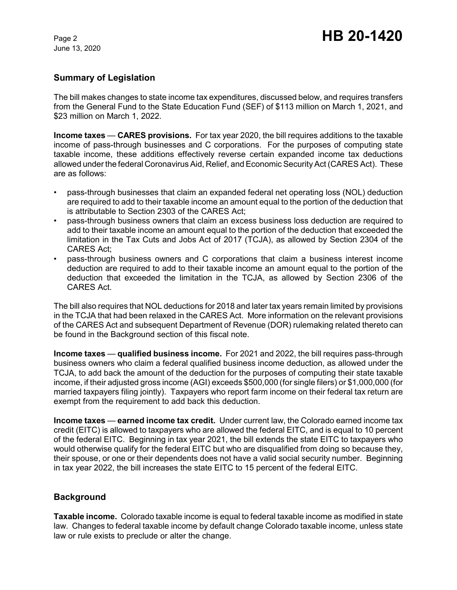# **Summary of Legislation**

The bill makes changes to state income tax expenditures, discussed below, and requires transfers from the General Fund to the State Education Fund (SEF) of \$113 million on March 1, 2021, and \$23 million on March 1, 2022.

**Income taxes** — **CARES provisions.** For tax year 2020, the bill requires additions to the taxable income of pass-through businesses and C corporations. For the purposes of computing state taxable income, these additions effectively reverse certain expanded income tax deductions allowed under the federal Coronavirus Aid, Relief, and Economic Security Act (CARES Act). These are as follows:

- pass-through businesses that claim an expanded federal net operating loss (NOL) deduction are required to add to their taxable income an amount equal to the portion of the deduction that is attributable to Section 2303 of the CARES Act;
- pass-through business owners that claim an excess business loss deduction are required to add to their taxable income an amount equal to the portion of the deduction that exceeded the limitation in the Tax Cuts and Jobs Act of 2017 (TCJA), as allowed by Section 2304 of the CARES Act;
- pass-through business owners and C corporations that claim a business interest income deduction are required to add to their taxable income an amount equal to the portion of the deduction that exceeded the limitation in the TCJA, as allowed by Section 2306 of the CARES Act.

The bill also requires that NOL deductions for 2018 and later tax years remain limited by provisions in the TCJA that had been relaxed in the CARES Act. More information on the relevant provisions of the CARES Act and subsequent Department of Revenue (DOR) rulemaking related thereto can be found in the Background section of this fiscal note.

**Income taxes** — **qualified business income.** For 2021 and 2022, the bill requires pass-through business owners who claim a federal qualified business income deduction, as allowed under the TCJA, to add back the amount of the deduction for the purposes of computing their state taxable income, if their adjusted gross income (AGI) exceeds \$500,000 (for single filers) or \$1,000,000 (for married taxpayers filing jointly). Taxpayers who report farm income on their federal tax return are exempt from the requirement to add back this deduction.

**Income taxes** — **earned income tax credit.** Under current law, the Colorado earned income tax credit (EITC) is allowed to taxpayers who are allowed the federal EITC, and is equal to 10 percent of the federal EITC. Beginning in tax year 2021, the bill extends the state EITC to taxpayers who would otherwise qualify for the federal EITC but who are disqualified from doing so because they, their spouse, or one or their dependents does not have a valid social security number. Beginning in tax year 2022, the bill increases the state EITC to 15 percent of the federal EITC.

# **Background**

**Taxable income.** Colorado taxable income is equal to federal taxable income as modified in state law. Changes to federal taxable income by default change Colorado taxable income, unless state law or rule exists to preclude or alter the change.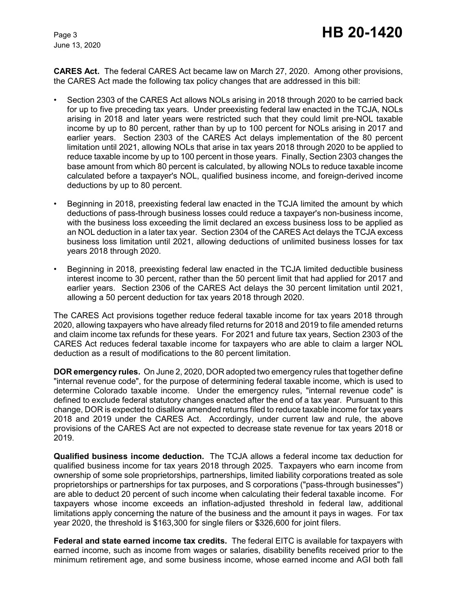**CARES Act.** The federal CARES Act became law on March 27, 2020. Among other provisions, the CARES Act made the following tax policy changes that are addressed in this bill:

- Section 2303 of the CARES Act allows NOLs arising in 2018 through 2020 to be carried back for up to five preceding tax years. Under preexisting federal law enacted in the TCJA, NOLs arising in 2018 and later years were restricted such that they could limit pre-NOL taxable income by up to 80 percent, rather than by up to 100 percent for NOLs arising in 2017 and earlier years. Section 2303 of the CARES Act delays implementation of the 80 percent limitation until 2021, allowing NOLs that arise in tax years 2018 through 2020 to be applied to reduce taxable income by up to 100 percent in those years. Finally, Section 2303 changes the base amount from which 80 percent is calculated, by allowing NOLs to reduce taxable income calculated before a taxpayer's NOL, qualified business income, and foreign-derived income deductions by up to 80 percent.
- Beginning in 2018, preexisting federal law enacted in the TCJA limited the amount by which deductions of pass-through business losses could reduce a taxpayer's non-business income, with the business loss exceeding the limit declared an excess business loss to be applied as an NOL deduction in a later tax year. Section 2304 of the CARES Act delays the TCJA excess business loss limitation until 2021, allowing deductions of unlimited business losses for tax years 2018 through 2020.
- Beginning in 2018, preexisting federal law enacted in the TCJA limited deductible business interest income to 30 percent, rather than the 50 percent limit that had applied for 2017 and earlier years. Section 2306 of the CARES Act delays the 30 percent limitation until 2021, allowing a 50 percent deduction for tax years 2018 through 2020.

The CARES Act provisions together reduce federal taxable income for tax years 2018 through 2020, allowing taxpayers who have already filed returns for 2018 and 2019 to file amended returns and claim income tax refunds for these years. For 2021 and future tax years, Section 2303 of the CARES Act reduces federal taxable income for taxpayers who are able to claim a larger NOL deduction as a result of modifications to the 80 percent limitation.

**DOR emergency rules.** On June 2, 2020, DOR adopted two emergency rules that together define "internal revenue code", for the purpose of determining federal taxable income, which is used to determine Colorado taxable income. Under the emergency rules, "internal revenue code" is defined to exclude federal statutory changes enacted after the end of a tax year. Pursuant to this change, DOR is expected to disallow amended returns filed to reduce taxable income for tax years 2018 and 2019 under the CARES Act. Accordingly, under current law and rule, the above provisions of the CARES Act are not expected to decrease state revenue for tax years 2018 or 2019.

**Qualified business income deduction.** The TCJA allows a federal income tax deduction for qualified business income for tax years 2018 through 2025. Taxpayers who earn income from ownership of some sole proprietorships, partnerships, limited liability corporations treated as sole proprietorships or partnerships for tax purposes, and S corporations ("pass-through businesses") are able to deduct 20 percent of such income when calculating their federal taxable income. For taxpayers whose income exceeds an inflation-adjusted threshold in federal law, additional limitations apply concerning the nature of the business and the amount it pays in wages. For tax year 2020, the threshold is \$163,300 for single filers or \$326,600 for joint filers.

**Federal and state earned income tax credits.** The federal EITC is available for taxpayers with earned income, such as income from wages or salaries, disability benefits received prior to the minimum retirement age, and some business income, whose earned income and AGI both fall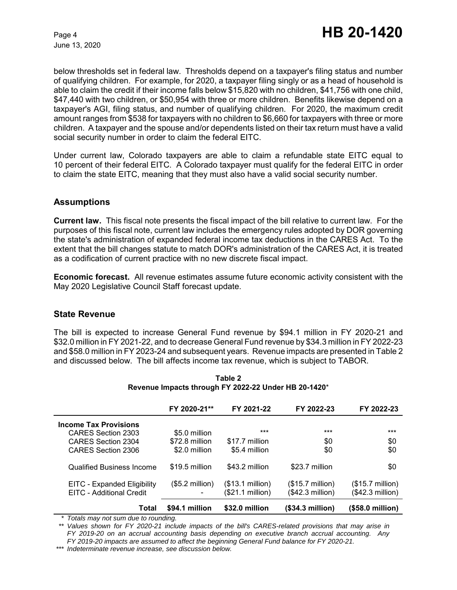below thresholds set in federal law. Thresholds depend on a taxpayer's filing status and number of qualifying children. For example, for 2020, a taxpayer filing singly or as a head of household is able to claim the credit if their income falls below \$15,820 with no children, \$41,756 with one child, \$47,440 with two children, or \$50,954 with three or more children. Benefits likewise depend on a taxpayer's AGI, filing status, and number of qualifying children. For 2020, the maximum credit amount ranges from \$538 for taxpayers with no children to \$6,660 for taxpayers with three or more children. A taxpayer and the spouse and/or dependents listed on their tax return must have a valid social security number in order to claim the federal EITC.

Under current law, Colorado taxpayers are able to claim a refundable state EITC equal to 10 percent of their federal EITC. A Colorado taxpayer must qualify for the federal EITC in order to claim the state EITC, meaning that they must also have a valid social security number.

## **Assumptions**

**Current law.** This fiscal note presents the fiscal impact of the bill relative to current law. For the purposes of this fiscal note, current law includes the emergency rules adopted by DOR governing the state's administration of expanded federal income tax deductions in the CARES Act. To the extent that the bill changes statute to match DOR's administration of the CARES Act, it is treated as a codification of current practice with no new discrete fiscal impact.

**Economic forecast.** All revenue estimates assume future economic activity consistent with the May 2020 Legislative Council Staff forecast update.

### **State Revenue**

The bill is expected to increase General Fund revenue by \$94.1 million in FY 2020-21 and \$32.0 million in FY 2021-22, and to decrease General Fund revenue by \$34.3 million in FY 2022-23 and \$58.0 million in FY 2023-24 and subsequent years. Revenue impacts are presented in Table 2 and discussed below. The bill affects income tax revenue, which is subject to TABOR.

|                                  | FY 2020-21**     | FY 2021-22        | FY 2022-23                | FY 2022-23                |
|----------------------------------|------------------|-------------------|---------------------------|---------------------------|
| <b>Income Tax Provisions</b>     |                  |                   |                           |                           |
| CARES Section 2303               | \$5.0 million    | $***$             | ***                       | ***                       |
| CARES Section 2304               | \$72.8 million   | \$17.7 million    | \$0                       | \$0                       |
| CARES Section 2306               | \$2.0 million    | \$5.4 million     | \$0                       | \$0                       |
| <b>Qualified Business Income</b> | \$19.5 million   | \$43.2 million    | \$23.7 million            | \$0                       |
| EITC - Expanded Eligibility      | $($5.2$ million) | $($13.1$ million) | $($15.7 \text{ million})$ | $($15.7 \text{ million})$ |
| EITC - Additional Credit         |                  | (\$21.1 million)  | (\$42.3 million)          | $($42.3$ million)         |
| Total                            | \$94.1 million   | \$32.0 million    | (\$34.3 million)          | (\$58.0 million)          |

**Table 2 Revenue Impacts through FY 2022-22 Under HB 20-1420**\*

*\* Totals may not sum due to rounding.*

*\*\* Values shown for FY 2020-21 include impacts of the bill's CARES-related provisions that may arise in FY 2019-20 on an accrual accounting basis depending on executive branch accrual accounting. Any FY 2019-20 impacts are assumed to affect the beginning General Fund balance for FY 2020-21.*

*\*\*\* Indeterminate revenue increase, see discussion below.*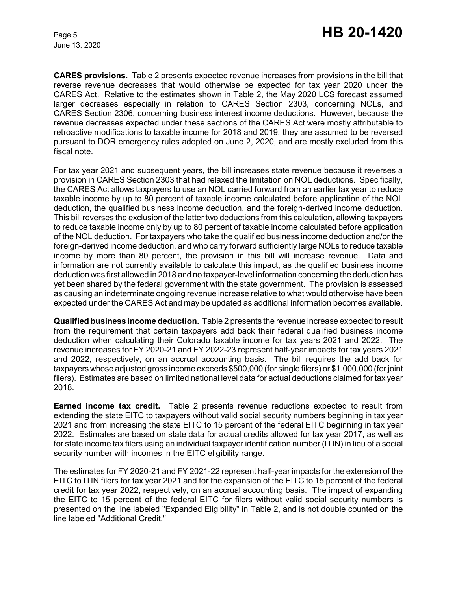**CARES provisions.** Table 2 presents expected revenue increases from provisions in the bill that reverse revenue decreases that would otherwise be expected for tax year 2020 under the CARES Act. Relative to the estimates shown in Table 2, the May 2020 LCS forecast assumed larger decreases especially in relation to CARES Section 2303, concerning NOLs, and CARES Section 2306, concerning business interest income deductions. However, because the revenue decreases expected under these sections of the CARES Act were mostly attributable to retroactive modifications to taxable income for 2018 and 2019, they are assumed to be reversed pursuant to DOR emergency rules adopted on June 2, 2020, and are mostly excluded from this fiscal note.

For tax year 2021 and subsequent years, the bill increases state revenue because it reverses a provision in CARES Section 2303 that had relaxed the limitation on NOL deductions. Specifically, the CARES Act allows taxpayers to use an NOL carried forward from an earlier tax year to reduce taxable income by up to 80 percent of taxable income calculated before application of the NOL deduction, the qualified business income deduction, and the foreign-derived income deduction. This bill reverses the exclusion of the latter two deductions from this calculation, allowing taxpayers to reduce taxable income only by up to 80 percent of taxable income calculated before application of the NOL deduction. For taxpayers who take the qualified business income deduction and/or the foreign-derived income deduction, and who carry forward sufficiently large NOLs to reduce taxable income by more than 80 percent, the provision in this bill will increase revenue. Data and information are not currently available to calculate this impact, as the qualified business income deduction was first allowed in 2018 and no taxpayer-level information concerning the deduction has yet been shared by the federal government with the state government. The provision is assessed as causing an indeterminate ongoing revenue increase relative to what would otherwise have been expected under the CARES Act and may be updated as additional information becomes available.

**Qualified business income deduction.** Table 2 presents the revenue increase expected to result from the requirement that certain taxpayers add back their federal qualified business income deduction when calculating their Colorado taxable income for tax years 2021 and 2022. The revenue increases for FY 2020-21 and FY 2022-23 represent half-year impacts for tax years 2021 and 2022, respectively, on an accrual accounting basis. The bill requires the add back for taxpayers whose adjusted gross income exceeds \$500,000 (for single filers) or \$1,000,000 (for joint filers). Estimates are based on limited national level data for actual deductions claimed for tax year 2018.

**Earned income tax credit.** Table 2 presents revenue reductions expected to result from extending the state EITC to taxpayers without valid social security numbers beginning in tax year 2021 and from increasing the state EITC to 15 percent of the federal EITC beginning in tax year 2022. Estimates are based on state data for actual credits allowed for tax year 2017, as well as for state income tax filers using an individual taxpayer identification number (ITIN) in lieu of a social security number with incomes in the EITC eligibility range.

The estimates for FY 2020-21 and FY 2021-22 represent half-year impacts for the extension of the EITC to ITIN filers for tax year 2021 and for the expansion of the EITC to 15 percent of the federal credit for tax year 2022, respectively, on an accrual accounting basis. The impact of expanding the EITC to 15 percent of the federal EITC for filers without valid social security numbers is presented on the line labeled "Expanded Eligibility" in Table 2, and is not double counted on the line labeled "Additional Credit."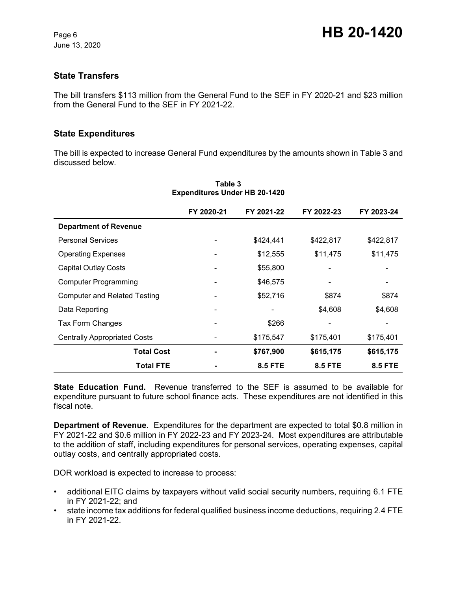# **State Transfers**

The bill transfers \$113 million from the General Fund to the SEF in FY 2020-21 and \$23 million from the General Fund to the SEF in FY 2021-22.

### **State Expenditures**

The bill is expected to increase General Fund expenditures by the amounts shown in Table 3 and discussed below.

|                                     | FY 2020-21 | FY 2021-22     | FY 2022-23     | FY 2023-24     |
|-------------------------------------|------------|----------------|----------------|----------------|
| <b>Department of Revenue</b>        |            |                |                |                |
| <b>Personal Services</b>            |            | \$424,441      | \$422,817      | \$422,817      |
| <b>Operating Expenses</b>           |            | \$12,555       | \$11,475       | \$11,475       |
| <b>Capital Outlay Costs</b>         |            | \$55,800       |                |                |
| <b>Computer Programming</b>         |            | \$46,575       |                | -              |
| <b>Computer and Related Testing</b> |            | \$52,716       | \$874          | \$874          |
| Data Reporting                      |            |                | \$4,608        | \$4,608        |
| Tax Form Changes                    |            | \$266          |                |                |
| <b>Centrally Appropriated Costs</b> |            | \$175,547      | \$175,401      | \$175,401      |
| <b>Total Cost</b>                   |            | \$767,900      | \$615,175      | \$615,175      |
| <b>Total FTE</b>                    |            | <b>8.5 FTE</b> | <b>8.5 FTE</b> | <b>8.5 FTE</b> |

#### **Table 3 Expenditures Under HB 20-1420**

**State Education Fund.** Revenue transferred to the SEF is assumed to be available for expenditure pursuant to future school finance acts. These expenditures are not identified in this fiscal note.

**Department of Revenue.** Expenditures for the department are expected to total \$0.8 million in FY 2021-22 and \$0.6 million in FY 2022-23 and FY 2023-24. Most expenditures are attributable to the addition of staff, including expenditures for personal services, operating expenses, capital outlay costs, and centrally appropriated costs.

DOR workload is expected to increase to process:

- additional EITC claims by taxpayers without valid social security numbers, requiring 6.1 FTE in FY 2021-22; and
- state income tax additions for federal qualified business income deductions, requiring 2.4 FTE in FY 2021-22.